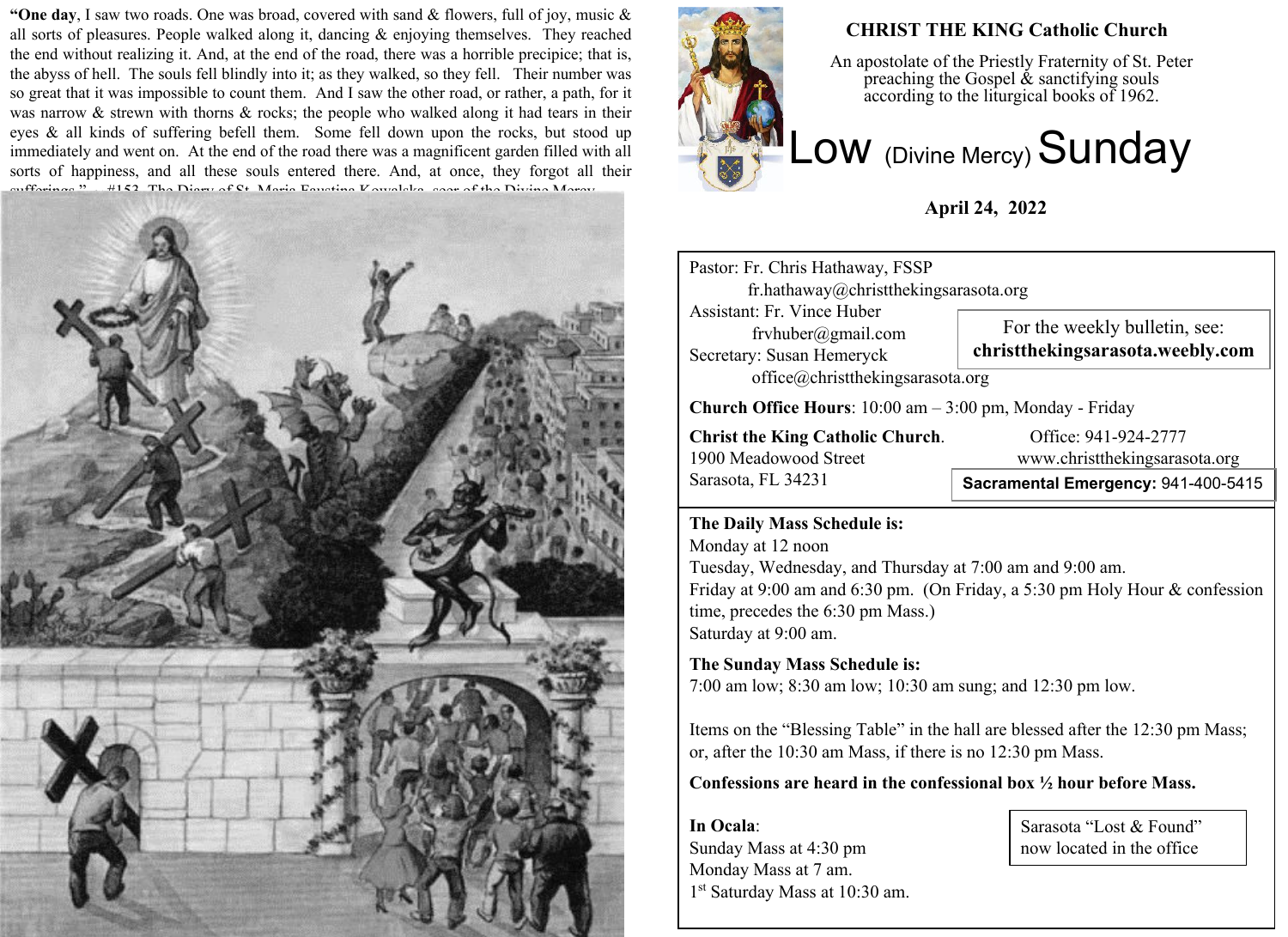**"One day**, I saw two roads. One was broad, covered with sand & flowers, full of joy, music & all sorts of pleasures. People walked along it, dancing & enjoying themselves. They reached the end without realizing it. And, at the end of the road, there was a horrible precipice; that is, the abyss of hell. The souls fell blindly into it; as they walked, so they fell. Their number was so great that it was impossible to count them. And I saw the other road, or rather, a path, for it was narrow & strewn with thorns & rocks; the people who walked along it had tears in their eyes & all kinds of suffering befell them. Some fell down upon the rocks, but stood up immediately and went on. At the end of the road there was a magnificent garden filled with all sorts of happiness, and all these souls entered there. And, at once, they forgot all their [sufferings." ~ #153, The Diary of St. Maria Faustina Kowalska, seer of the Divine Mercy.](https://1.bp.blogspot.com/-qmFLjE9lJfc/V1l1c0uKCjI/AAAAAAAATTw/x1u7se-UnOcDhfmwQjWXvEAO4LzSPZ7ywCLcB/s1600/1269178_235412573273061_129721019_o.jpg)





## **CHRIST THE KING Catholic Church**

An apostolate of the Priestly Fraternity of St. Peter preaching the Gospel  $\&$  sanctifying souls according to the liturgical books of 1962.

# $L$ OW (Divine Mercy)  $S$ UN $day$

**April 24, 2022**

Pastor: Fr. Chris Hathaway, FSSP fr.hathaway@christthekingsarasota.org Assistant: Fr. Vince Huber frvhuber@gmail.com Secretary: Susan Hemeryck office@christthekingsarasota.org **Church Office Hours**: 10:00 am – 3:00 pm, Monday - Friday **Christ the King Catholic Church.** Office: 941-924-2777 1900 Meadowood Street www.christthekingsarasota.org Sarasota, FL 34231 **Sacramental Emergency:** 941-400-5415 For the weekly bulletin, see: **christthekingsarasota.weebly.com**

**The Daily Mass Schedule is:**  Monday at 12 noon Tuesday, Wednesday, and Thursday at 7:00 am and 9:00 am. Friday at 9:00 am and 6:30 pm. (On Friday, a 5:30 pm Holy Hour & confession time, precedes the 6:30 pm Mass.) Saturday at 9:00 am.

**The Sunday Mass Schedule is:** 7:00 am low; 8:30 am low; 10:30 am sung; and 12:30 pm low.

Items on the "Blessing Table" in the hall are blessed after the 12:30 pm Mass; or, after the 10:30 am Mass, if there is no 12:30 pm Mass.

**Confessions are heard in the confessional box ½ hour before Mass.** 

**In Ocala**: Sunday Mass at 4:30 pm Monday Mass at 7 am. 1 st Saturday Mass at 10:30 am. Sarasota "Lost & Found" now located in the office